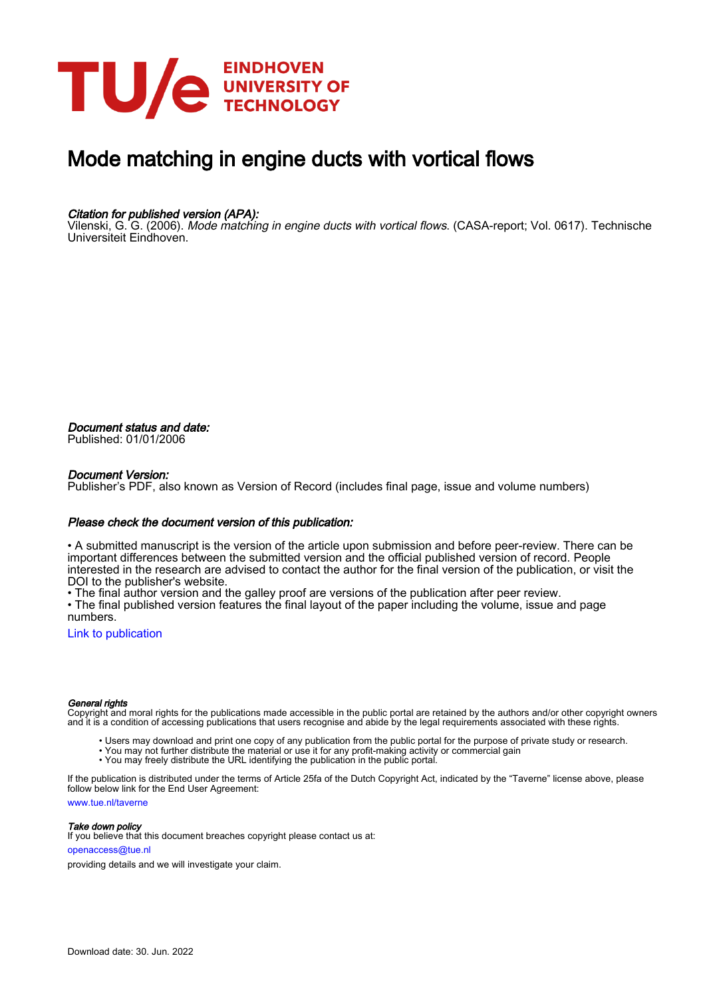

# Mode matching in engine ducts with vortical flows

#### Citation for published version (APA):

Vilenski, G. G. (2006). Mode matching in engine ducts with vortical flows. (CASA-report; Vol. 0617). Technische Universiteit Eindhoven.

Document status and date: Published: 01/01/2006

#### Document Version:

Publisher's PDF, also known as Version of Record (includes final page, issue and volume numbers)

#### Please check the document version of this publication:

• A submitted manuscript is the version of the article upon submission and before peer-review. There can be important differences between the submitted version and the official published version of record. People interested in the research are advised to contact the author for the final version of the publication, or visit the DOI to the publisher's website.

• The final author version and the galley proof are versions of the publication after peer review.

• The final published version features the final layout of the paper including the volume, issue and page numbers.

[Link to publication](https://research.tue.nl/en/publications/4481eb8f-ca76-4eb8-afd6-90b3e2129920)

#### General rights

Copyright and moral rights for the publications made accessible in the public portal are retained by the authors and/or other copyright owners and it is a condition of accessing publications that users recognise and abide by the legal requirements associated with these rights.

- Users may download and print one copy of any publication from the public portal for the purpose of private study or research.
- You may not further distribute the material or use it for any profit-making activity or commercial gain
- You may freely distribute the URL identifying the publication in the public portal.

If the publication is distributed under the terms of Article 25fa of the Dutch Copyright Act, indicated by the "Taverne" license above, please follow below link for the End User Agreement:

www.tue.nl/taverne

**Take down policy**<br>If you believe that this document breaches copyright please contact us at:

openaccess@tue.nl

providing details and we will investigate your claim.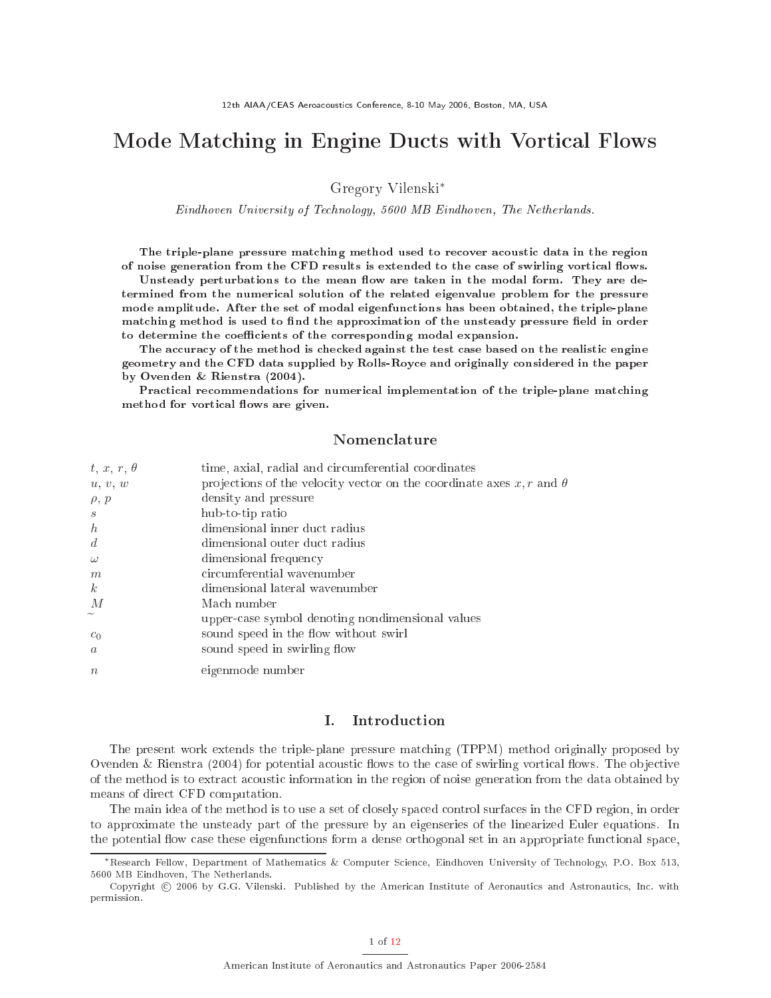## mode with all flows with  $\alpha$  and  $\alpha$  all  $\alpha$  in Eq. ( ) is a set of the set of  $\alpha$

Gregory Vilenski∗

Eindhoven University of Te
hnology, <sup>5600</sup> MB Eindhoven, The Netherlands.

The triple-plane pressure matching method used to recover acoustic data in the region of noise generation from the CFD results is extended to the case of swirling vortical flows.

Unsteady perturbations to the mean flow are taken in the modal form. They are determined from the numeri
al solution of the related eigenvalue problem for the pressure mode amplitude. After the set of modal eigenfun
tions has been obtained, the triple-plane matching method is used to find the approximation of the unsteady pressure field in order to determine the coefficients of the corresponding modal expansion.

The accuracy of the method is checked against the test case based on the realistic engine geometry and the CFD data supplied by Rolls-Roy
e and originally onsidered in the paper by Ovenden & Rienstra (2004).

Practical recommendations for numerical implementation of the triple-plane matching method for vortical flows are given.

#### Nomenclature

| $t, x, r, \theta$ | time, axial, radial and circumferential coordinates                         |
|-------------------|-----------------------------------------------------------------------------|
| u, v, w           | projections of the velocity vector on the coordinate axes x, r and $\theta$ |
| $\rho, p$         | density and pressure                                                        |
| $\mathcal{S}$     | hub-to-tip ratio                                                            |
| $\boldsymbol{h}$  | dimensional inner duct radius                                               |
| $\boldsymbol{d}$  | dimensional outer duct radius                                               |
| $\omega$          | dimensional frequency                                                       |
| m                 | circumferential wavenumber                                                  |
| $\boldsymbol{k}$  | dimensional lateral wavenumber                                              |
| M                 | Mach number                                                                 |
|                   | upper-case symbol denoting nondimensional values                            |
| $c_0$             | sound speed in the flow without swirl                                       |
| $\alpha$          | sound speed in swirling flow                                                |
| $\eta$            | eigenmode number                                                            |

## I. Introdu
tion

The present work extends the triple-plane pressure mat
hing (TPPM) method originally proposed by Ovenden & Rienstra  $(2004)$  for potential acoustic flows to the case of swirling vortical flows. The objective of the method is to extra
t a
ousti information in the region of noise generation from the data obtained by means of dire
t CFD omputation.

The main idea of the method is to use a set of closely spaced control surfaces in the CFD region, in order to approximate the unsteady part of the pressure by an eigenseries of the linearized Euler equations. In the potential flow case these eigenfunctions form a dense orthogonal set in an appropriate functional space,

<sup>∗</sup>Resear
h Fellow, Department of Mathemati
s & Computer S
ien
e, Eindhoven University of Te
hnology, P.O. Box 513, 5600 MB Eindhoven, The Netherlands.

Copyright © 2006 by G.G. Vilenski. Published by the American Institute of Aeronautics and Astronautics, Inc. with permission.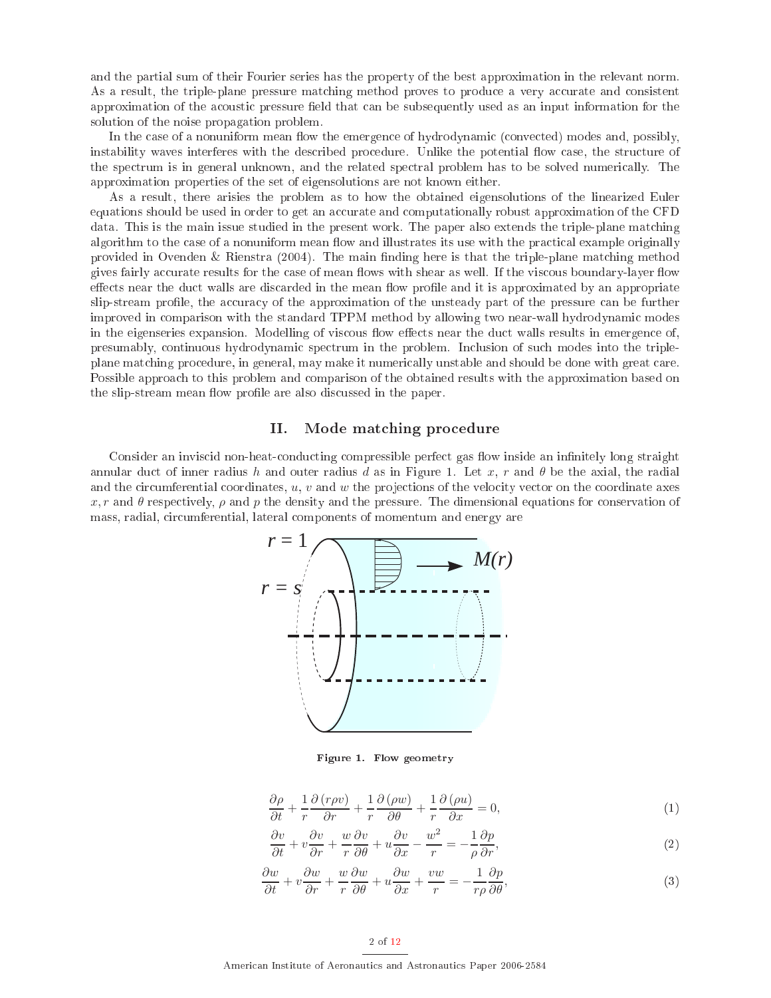and the partial sum of their Fourier series has the property of the best approximation in the relevant norm. As a result, the triple-plane pressure matching method proves to produce a very accurate and consistent approximation of the acoustic pressure field that can be subsequently used as an input information for the solution of the noise propagation problem.

In the case of a nonuniform mean flow the emergence of hydrodynamic (convected) modes and, possibly, instability waves interferes with the described procedure. Unlike the potential flow case, the structure of the spectrum is in general unknown, and the related spectral problem has to be solved numerically. The approximation properties of the set of eigensolutions are not known either.

As a result, there arisies the problem as to how the obtained eigensolutions of the linearized Euler equations should be used in order to get an accurate and computationally robust approximation of the CFD data. This is the main issue studied in the present work. The paper also extends the triple-plane matching algorithm to the case of a nonuniform mean flow and illustrates its use with the practical example originally provided in Ovenden & Rienstra  $(2004)$ . The main finding here is that the triple-plane matching method gives fairly accurate results for the case of mean flows with shear as well. If the viscous boundary-layer flow effects near the duct walls are discarded in the mean flow profile and it is approximated by an appropriate slip-stream profile, the accuracy of the approximation of the unsteady part of the pressure can be further improved in omparison with the standard TPPM method by allowing two near-wall hydrodynami modes in the eigenseries expansion. Modelling of viscous flow effects near the duct walls results in emergence of, presumably, ontinuous hydrodynami spe
trum in the problem. In
lusion of su
h modes into the tripleplane mat
hing pro
edure, in general, may make it numeri
ally unstable and should be done with great are. Possible approach to this problem and comparison of the obtained results with the approximation based on the slip-stream mean flow profile are also discussed in the paper.

#### II. Mode matching procedure

Consider an inviscid non-heat-conducting compressible perfect gas flow inside an infinitely long straight annular duct of inner radius h and outer radius d as in Figure 1. Let x, r and  $\theta$  be the axial, the radial and the circumferential coordinates,  $u, v$  and  $w$  the projections of the velocity vector on the coordinate axes x, r and  $\theta$  respectively,  $\rho$  and  $p$  the density and the pressure. The dimensional equations for conservation of mass, radial, circumferential, lateral components of momentum and energy are



Figure 1. Flow geometry

$$
\frac{\partial \rho}{\partial t} + \frac{1}{r} \frac{\partial (r\rho v)}{\partial r} + \frac{1}{r} \frac{\partial (\rho w)}{\partial \theta} + \frac{1}{r} \frac{\partial (\rho u)}{\partial x} = 0, \tag{1}
$$

$$
\frac{\partial v}{\partial t} + v \frac{\partial v}{\partial r} + \frac{w}{r} \frac{\partial v}{\partial \theta} + u \frac{\partial v}{\partial x} - \frac{w^2}{r} = -\frac{1}{\rho} \frac{\partial p}{\partial r},\tag{2}
$$

$$
\frac{\partial w}{\partial t} + v \frac{\partial w}{\partial r} + \frac{w}{r} \frac{\partial w}{\partial \theta} + u \frac{\partial w}{\partial x} + \frac{vw}{r} = -\frac{1}{r\rho} \frac{\partial p}{\partial \theta},\tag{3}
$$

#### 2 of [12](#page-12-0)

Ameri
an Institute of Aeronauti
s and Astronauti
s Paper 2006-2584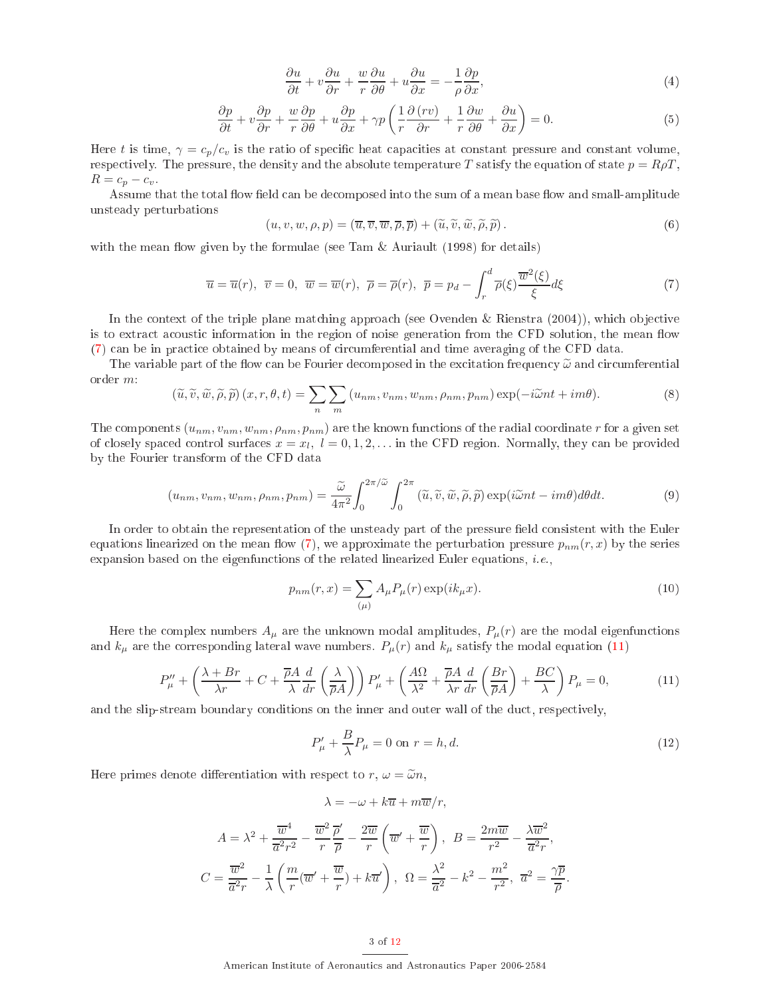$$
\frac{\partial u}{\partial t} + v \frac{\partial u}{\partial r} + \frac{w}{r} \frac{\partial u}{\partial \theta} + u \frac{\partial u}{\partial x} = -\frac{1}{\rho} \frac{\partial p}{\partial x},\tag{4}
$$

$$
\frac{\partial p}{\partial t} + v \frac{\partial p}{\partial r} + \frac{w}{r} \frac{\partial p}{\partial \theta} + u \frac{\partial p}{\partial x} + \gamma p \left( \frac{1}{r} \frac{\partial (rv)}{\partial r} + \frac{1}{r} \frac{\partial w}{\partial \theta} + \frac{\partial u}{\partial x} \right) = 0.
$$
\n(5)

Here t is time,  $\gamma = c_p/c_v$  is the ratio of specific heat capacities at constant pressure and constant volume, respectively. The pressure, the density and the absolute temperature T satisfy the equation of state  $p = R\rho T$ ,  $R = c_p - c_v$ .

Assume that the total flow field can be decomposed into the sum of a mean base flow and small-amplitude unsteady perturbations

$$
(u, v, w, \rho, p) = (\overline{u}, \overline{v}, \overline{w}, \overline{\rho}, \overline{p}) + (\widetilde{u}, \widetilde{v}, \widetilde{w}, \widetilde{\rho}, \widetilde{p}).
$$
\n(6)

<span id="page-3-0"></span>with the mean flow given by the formulae (see Tam  $&$  Auriault (1998) for details)

$$
\overline{u} = \overline{u}(r), \ \overline{v} = 0, \ \overline{w} = \overline{w}(r), \ \overline{\rho} = \overline{\rho}(r), \ \overline{p} = p_d - \int_r^d \overline{\rho}(\xi) \frac{\overline{w}^2(\xi)}{\xi} d\xi \tag{7}
$$

In the context of the triple plane matching approach (see Ovenden & Rienstra (2004)), which objective is to extract acoustic information in the region of noise generation from the CFD solution, the mean flow [\(7\)](#page-3-0) an be in pra
ti
e obtained by means of ir
umferential and time averaging of the CFD data.

The variable part of the flow can be Fourier decomposed in the excitation frequency  $\tilde{\omega}$  and circumferential order m:

$$
(\widetilde{u}, \widetilde{v}, \widetilde{w}, \widetilde{\rho}, \widetilde{p}) (x, r, \theta, t) = \sum_{n} \sum_{m} (u_{nm}, v_{nm}, w_{nm}, \rho_{nm}, p_{nm}) \exp(-i\widetilde{\omega}nt + im\theta).
$$
 (8)

The components  $(u_{nm}, v_{nm}, w_{nm}, p_{nm})$  are the known functions of the radial coordinate r for a given set of closely spaced control surfaces  $x = x_l, l = 0, 1, 2, \ldots$  in the CFD region. Normally, they can be provided by the Fourier transform of the CFD data

$$
(u_{nm}, v_{nm}, w_{nm}, \rho_{nm}, p_{nm}) = \frac{\widetilde{\omega}}{4\pi^2} \int_0^{2\pi/\widetilde{\omega}} \int_0^{2\pi} (\widetilde{u}, \widetilde{v}, \widetilde{w}, \widetilde{\rho}, \widetilde{p}) \exp(i\widetilde{\omega}nt - im\theta) d\theta dt.
$$
 (9)

In order to obtain the representation of the unsteady part of the pressure field consistent with the Euler equations linearized on the mean flow [\(7\)](#page-3-0), we approximate the perturbation pressure  $p_{nm}(r, x)$  by the series expansion based on the eigenfunctions of the related linearized Euler equations, *i.e.*,

<span id="page-3-3"></span>
$$
p_{nm}(r,x) = \sum_{(\mu)} A_{\mu} P_{\mu}(r) \exp(ik_{\mu}x).
$$
 (10)

<span id="page-3-1"></span>Here the complex numbers  $A_\mu$  are the unknown modal amplitudes,  $P_\mu(r)$  are the modal eigenfunctions and  $k_{\mu}$  are the corresponding lateral wave numbers.  $P_{\mu}(r)$  and  $k_{\mu}$  satisfy the modal equation [\(11\)](#page-3-1)

<span id="page-3-2"></span>
$$
P_{\mu}'' + \left(\frac{\lambda + Br}{\lambda r} + C + \frac{\overline{\rho}A}{\lambda} \frac{d}{dr} \left(\frac{\lambda}{\overline{\rho}A}\right)\right) P_{\mu}' + \left(\frac{A\Omega}{\lambda^2} + \frac{\overline{\rho}A}{\lambda r} \frac{d}{dr} \left(\frac{Br}{\overline{\rho}A}\right) + \frac{BC}{\lambda}\right) P_{\mu} = 0, \tag{11}
$$

and the slip-stream boundary conditions on the inner and outer wall of the duct, respectively,

$$
P'_{\mu} + \frac{B}{\lambda}P_{\mu} = 0 \text{ on } r = h, d.
$$
\n
$$
(12)
$$

.

Here primes denote differentiation with respect to  $r, \omega = \tilde{\omega} n$ ,

$$
\lambda = -\omega + k\overline{u} + m\overline{w}/r,
$$

$$
A = \lambda^2 + \frac{\overline{w}^4}{\overline{a}^2 r^2} - \frac{\overline{w}^2}{r} \frac{\overline{\rho}'}{r} - \frac{2\overline{w}}{r} \left( \overline{w}' + \frac{\overline{w}}{r} \right), \quad B = \frac{2m\overline{w}}{r^2} - \frac{\lambda \overline{w}^2}{\overline{a}^2 r},
$$
  

$$
C = \frac{\overline{w}^2}{\overline{a}^2 r} - \frac{1}{\lambda} \left( \frac{m}{r} (\overline{w}' + \frac{\overline{w}}{r}) + k\overline{u}' \right), \quad \Omega = \frac{\lambda^2}{\overline{a}^2} - k^2 - \frac{m^2}{r^2}, \quad \overline{a}^2 = \frac{\gamma \overline{p}}{\overline{p}}
$$

#### 3 of [12](#page-12-0)

Ameri
an Institute of Aeronauti
s and Astronauti
s Paper 2006-2584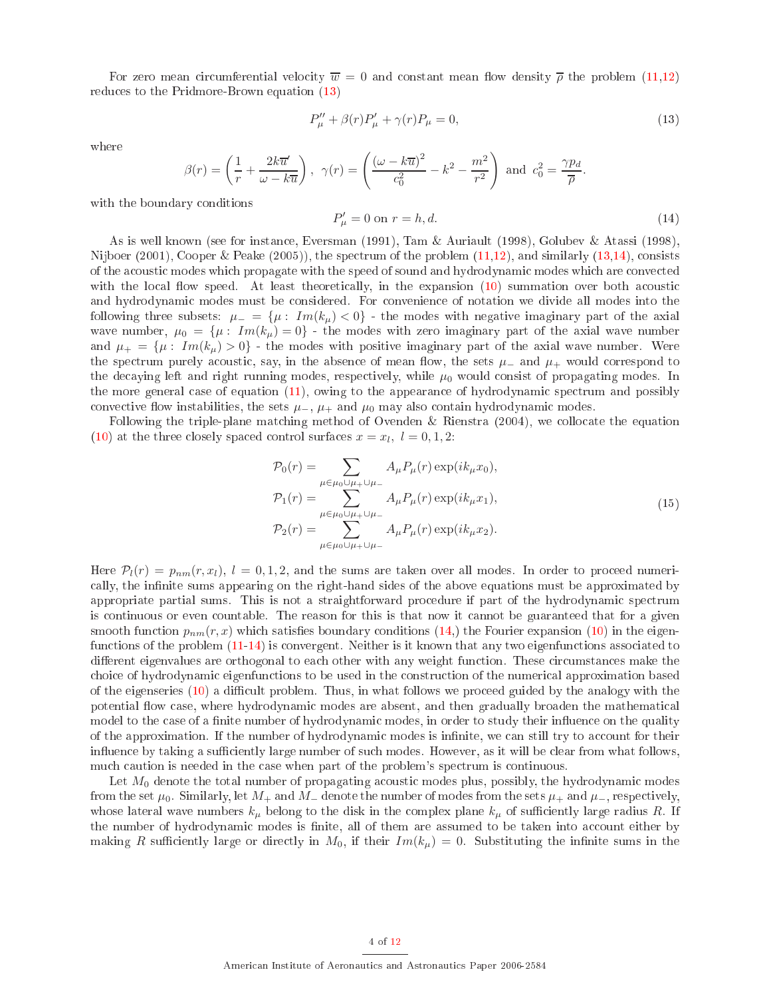For zero mean circumferential velocity  $\overline{w} = 0$  and constant mean flow density  $\overline{\rho}$  the problem [\(11](#page-3-1)[,12\)](#page-3-2) redu
es to the Pridmore-Brown equation [\(13\)](#page-4-0)

$$
P_{\mu}'' + \beta(r)P_{\mu}' + \gamma(r)P_{\mu} = 0,
$$
\n(13)

where

<span id="page-4-1"></span><span id="page-4-0"></span>
$$
\beta(r) = \left(\frac{1}{r} + \frac{2k\overline{u}'}{\omega - k\overline{u}}\right), \ \ \gamma(r) = \left(\frac{(\omega - k\overline{u})^2}{c_0^2} - k^2 - \frac{m^2}{r^2}\right) \ \text{and} \ \ c_0^2 = \frac{\gamma p_d}{\overline{\rho}}.
$$

with the boundary conditions

$$
P'_{\mu} = 0 \text{ on } r = h, d. \tag{14}
$$

As is well known (see for instan
e, Eversman (1991), Tam & Auriault (1998), Golubev & Atassi (1998), Nijboer  $(2001)$ , Cooper & Peake  $(2005)$ , the spectrum of the problem  $(11,12)$  $(11,12)$ , and similarly  $(13,14)$  $(13,14)$ , consists of the a
ousti modes whi
h propagate with the speed of sound and hydrodynami modes whi
h are onve
ted with the local flow speed. At least theoretically, in the expansion  $(10)$  summation over both acoustic and hydrodynami modes must be onsidered. For onvenien
e of notation we divide all modes into the following three subsets:  $\mu = {\mu : Im(k_\mu) < 0}$  - the modes with negative imaginary part of the axial wave number,  $\mu_0 = {\mu : Im(k_\mu) = 0}$  - the modes with zero imaginary part of the axial wave number and  $\mu_+ = {\mu : Im(k_\mu) > 0}$  - the modes with positive imaginary part of the axial wave number. Were the spectrum purely acoustic, say, in the absence of mean flow, the sets  $\mu_-$  and  $\mu_+$  would correspond to the decaying left and right running modes, respectively, while  $\mu_0$  would consist of propagating modes. In the more general case of equation  $(11)$ , owing to the appearance of hydrodynamic spectrum and possibly convective flow instabilities, the sets  $\mu_-, \mu_+$  and  $\mu_0$  may also contain hydrodynamic modes.

Following the triple-plane matching method of Ovenden & Rienstra (2004), we collocate the equation [\(10\)](#page-3-3) at the three closely spaced control surfaces  $x = x_l, l = 0, 1, 2$ :

<span id="page-4-2"></span>
$$
\mathcal{P}_0(r) = \sum_{\mu \in \mu_0 \cup \mu_+ \cup \mu_-} A_{\mu} P_{\mu}(r) \exp(ik_{\mu}x_0),
$$
  
\n
$$
\mathcal{P}_1(r) = \sum_{\mu \in \mu_0 \cup \mu_+ \cup \mu_-} A_{\mu} P_{\mu}(r) \exp(ik_{\mu}x_1),
$$
  
\n
$$
\mathcal{P}_2(r) = \sum_{\mu \in \mu_0 \cup \mu_+ \cup \mu_-} A_{\mu} P_{\mu}(r) \exp(ik_{\mu}x_2).
$$
\n(15)

Here  $P_l(r) = p_{nm}(r, x_l)$ ,  $l = 0, 1, 2$ , and the sums are taken over all modes. In order to proceed numerically, the infinite sums appearing on the right-hand sides of the above equations must be approximated by appropriate partial sums. This is not a straightforward procedure if part of the hydrodynamic spectrum is ontinuous or even ountable. The reason for this is that now it annot be guaranteed that for a given smooth function  $p_{nm}(r, x)$  which satisfies boundary conditions [\(14,](#page-4-1)) the Fourier expansion [\(10\)](#page-3-3) in the eigenfunctions of the problem  $(11-14)$  $(11-14)$  is convergent. Neither is it known that any two eigenfunctions associated to different eigenvalues are orthogonal to each other with any weight function. These circumstances make the choice of hydrodynamic eigenfunctions to be used in the construction of the numerical approximation based of the eigenseries  $(10)$  a difficult problem. Thus, in what follows we proceed guided by the analogy with the potential flow case, where hydrodynamic modes are absent, and then gradually broaden the mathematical model to the case of a finite number of hydrodynamic modes, in order to study their influence on the quality of the approximation. If the number of hydrodynamic modes is infinite, we can still try to account for their influence by taking a sufficiently large number of such modes. However, as it will be clear from what follows. much caution is needed in the case when part of the problem's spectrum is continuous.

Let  $M_0$  denote the total number of propagating acoustic modes plus, possibly, the hydrodynamic modes from the set  $\mu_0$ . Similarly, let  $M_+$  and  $M_-$  denote the number of modes from the sets  $\mu_+$  and  $\mu_-$ , respectively, whose lateral wave numbers  $k_{\mu}$  belong to the disk in the complex plane  $k_{\mu}$  of sufficiently large radius R. If the number of hydrodynamic modes is finite, all of them are assumed to be taken into account either by making R sufficiently large or directly in  $M_0$ , if their  $Im(k_\mu) = 0$ . Substituting the infinite sums in the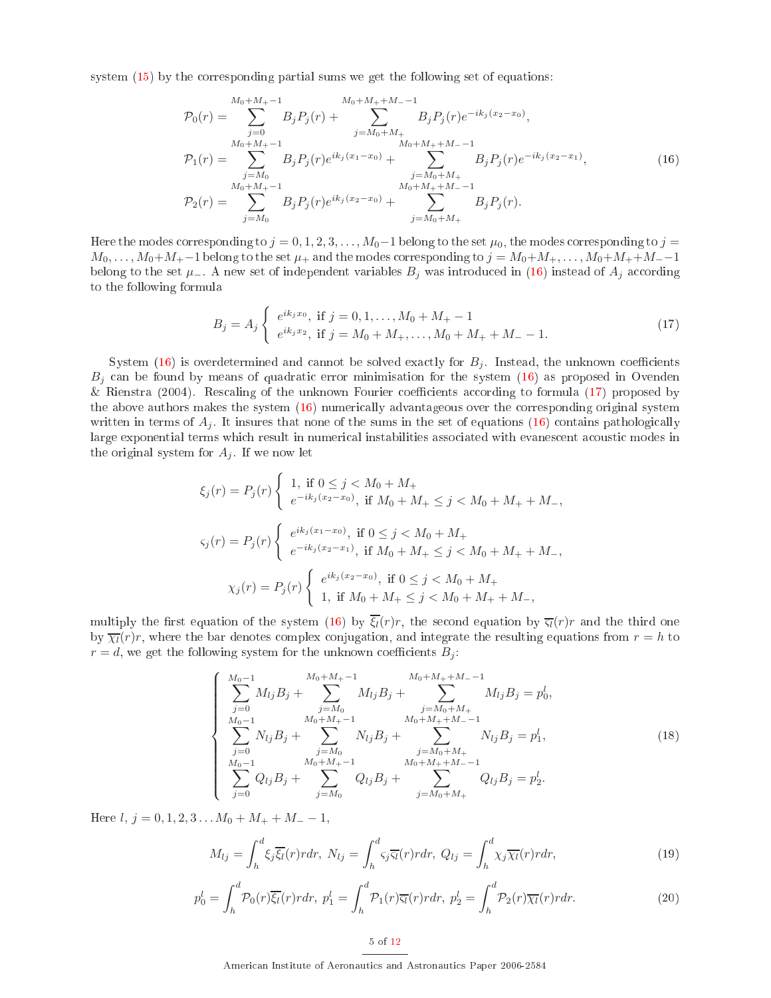<span id="page-5-0"></span>system  $(15)$  by the corresponding partial sums we get the following set of equations:

$$
\mathcal{P}_0(r) = \sum_{j=0}^{M_0+M_+-1} B_j P_j(r) + \sum_{j=M_0+M_+}^{M_0+M_++M_--1} B_j P_j(r) e^{-ik_j(x_2-x_0)},
$$
  
\n
$$
\mathcal{P}_1(r) = \sum_{j=M_0}^{M_0+M_+-1} B_j P_j(r) e^{ik_j(x_1-x_0)} + \sum_{j=M_0+M_+}^{M_0+M_++M_--1} B_j P_j(r) e^{-ik_j(x_2-x_1)},
$$
  
\n
$$
\mathcal{P}_2(r) = \sum_{j=M_0}^{M_0+M_+-1} B_j P_j(r) e^{ik_j(x_2-x_0)} + \sum_{j=M_0+M_+}^{M_0+M_++M_--1} B_j P_j(r).
$$
\n(16)

Here the modes corresponding to  $j = 0, 1, 2, 3, \ldots, M_0-1$  belong to the set  $\mu_0$ , the modes corresponding to  $j =$  $M_0, \ldots, M_0+M_+$  belong to the set  $\mu_+$  and the modes corresponding to  $j = M_0+M_+,\ldots, M_0+M_++M_-$  -1 belong to the set  $\mu_-$ . A new set of independent variables  $B_j$  was introduced in [\(16\)](#page-5-0) instead of  $A_j$  according to the following formula

$$
B_j = A_j \begin{cases} e^{ik_jx_0}, & \text{if } j = 0, 1, ..., M_0 + M_+ - 1 \\ e^{ik_jx_2}, & \text{if } j = M_0 + M_+, ..., M_0 + M_+ + M_- - 1. \end{cases}
$$
(17)

<span id="page-5-1"></span>System [\(16\)](#page-5-0) is overdetermined and cannot be solved exactly for  $B_i$ . Instead, the unknown coefficients  $B_i$  can be found by means of quadratic error minimisation for the system [\(16\)](#page-5-0) as proposed in Ovenden & Rienstra  $(2004)$ . Rescaling of the unknown Fourier coefficients according to formula  $(17)$  proposed by the above authors makes the system  $(16)$  numerically advantageous over the corresponding original system written in terms of  $A_j$ . It insures that none of the sums in the set of equations [\(16\)](#page-5-0) contains pathologically large exponential terms which result in numerical instabilities associated with evanescent acoustic modes in the original system for  $A_j$ . If we now let

$$
\xi_j(r) = P_j(r) \begin{cases} 1, & \text{if } 0 \le j < M_0 + M_+ \\ e^{-ik_j(x_2 - x_0)}, & \text{if } M_0 + M_+ \le j < M_0 + M_+ + M_-, \end{cases}
$$
\n
$$
\varsigma_j(r) = P_j(r) \begin{cases} e^{ik_j(x_1 - x_0)}, & \text{if } 0 \le j < M_0 + M_+ \\ e^{-ik_j(x_2 - x_1)}, & \text{if } M_0 + M_+ \le j < M_0 + M_+ + M_-, \end{cases}
$$
\n
$$
\chi_j(r) = P_j(r) \begin{cases} e^{ik_j(x_2 - x_0)}, & \text{if } 0 \le j < M_0 + M_+ \\ 1, & \text{if } M_0 + M_+ \le j < M_0 + M_+ + M_-, \end{cases}
$$

multiply the first equation of the system [\(16\)](#page-5-0) by  $\overline{\xi_l}(r)r$ , the second equation by  $\overline{\xi_l}(r)r$  and the third one by  $\overline{\chi_l}(r)r$ , where the bar denotes complex conjugation, and integrate the resulting equations from  $r = h$  to  $r = d$ , we get the following system for the unknown coefficients  $B_i$ :

$$
\begin{cases}\nM_{0}-1 & M_{0}+M_{+}-1 \\
\sum_{j=0}^{j=0} M_{lj}B_{j} + \sum_{j=M_{0}}^{j=M_{0}} M_{lj}B_{j} + \sum_{j=M_{0}+M_{+}}^{M_{0}+M_{+}+M_{-}-1} M_{lj}B_{j} = p_{0}^{l}, \\
\sum_{j=0}^{M_{0}-1} N_{lj}B_{j} + \sum_{j=M_{0}}^{j=M_{0}} N_{lj}B_{j} + \sum_{j=M_{0}+M_{+}}^{M_{0}+M_{+}+M_{-}-1} N_{lj}B_{j} = p_{1}^{l}, \\
\sum_{j=0}^{M_{0}-1} Q_{lj}B_{j} + \sum_{j=M_{0}}^{M_{0}+M_{+}+M_{-}-1} Q_{lj}B_{j} + \sum_{j=M_{0}+M_{+}}^{M_{0}+M_{+}+M_{-}-1} Q_{lj}B_{j} = p_{2}^{l}.\n\end{cases}
$$
\n(18)

<span id="page-5-3"></span><span id="page-5-2"></span>Here  $l, j = 0, 1, 2, 3...$   $M_0 + M_+ + M_- - 1$ ,

$$
M_{lj} = \int_{h}^{d} \xi_{j} \overline{\xi_{l}}(r) r dr, \ N_{lj} = \int_{h}^{d} \varsigma_{j} \overline{\varsigma_{l}}(r) r dr, \ Q_{lj} = \int_{h}^{d} \chi_{j} \overline{\chi_{l}}(r) r dr, \tag{19}
$$

$$
p_0^l = \int_h^d \mathcal{P}_0(r)\overline{\xi_l}(r) r dr, \ p_1^l = \int_h^d \mathcal{P}_1(r)\overline{\xi_l}(r) r dr, \ p_2^l = \int_h^d \mathcal{P}_2(r)\overline{\chi_l}(r) r dr. \tag{20}
$$

5 of [12](#page-12-0)

American Institute of Aeronautics and Astronautics Paper 2006-2584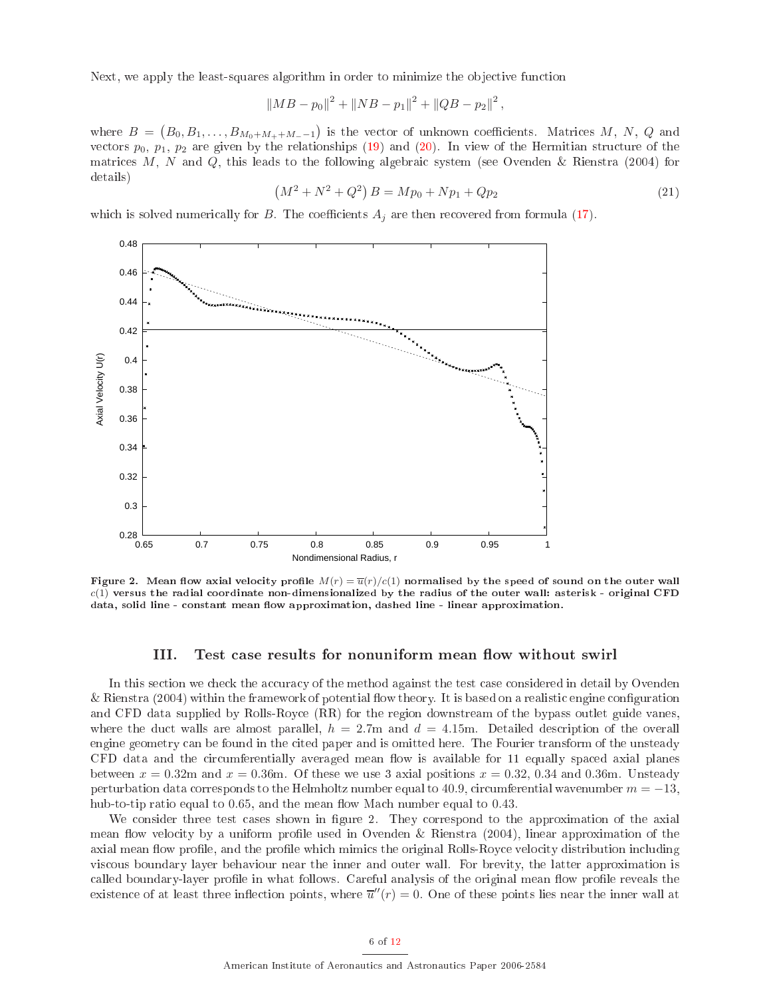Next, we apply the least-squares algorithm in order to minimize the objective function

$$
||MB-p_0||^2 + ||NB-p_1||^2 + ||QB-p_2||^2,
$$

where  $B = (B_0, B_1, \ldots, B_{M_0 + M_+ + M_- - 1})$  is the vector of unknown coefficients. Matrices M, N, Q and vectors  $p_0$ ,  $p_1$ ,  $p_2$  are given by the relationships [\(19\)](#page-5-2) and [\(20\)](#page-5-3). In view of the Hermitian structure of the matrices M, N and Q, this leads to the following algebraic system (see Ovenden & Rienstra (2004) for details)

$$
(M2 + N2 + Q2) B = Mp0 + Np1 + Qp2
$$
\n(21)

which is solved numerically for B. The coefficients  $A_i$  are then recovered from formula [\(17\)](#page-5-1).



Figure 2. Mean flow axial velocity profile  $M(r) = \overline{u}(r)/c(1)$  normalised by the speed of sound on the outer wall  $c(1)$  versus the radial coordinate non-dimensionalized by the radius of the outer wall: asterisk - original CFD data, solid line - constant mean flow approximation, dashed line - linear approximation.

#### III. Test case results for nonuniform mean flow without swirl

In this section we check the accuracy of the method against the test case considered in detail by Ovenden & Rienstra (2004) within the framework of potential flow theory. It is based on a realistic engine configuration and CFD data supplied by Rolls-Roy
e (RR) for the region downstream of the bypass outlet guide vanes, where the duct walls are almost parallel,  $h = 2.7$ m and  $d = 4.15$ m. Detailed description of the overall engine geometry can be found in the cited paper and is omitted here. The Fourier transform of the unsteady CFD data and the circumferentially averaged mean flow is available for 11 equally spaced axial planes between  $x = 0.32$ m and  $x = 0.36$ m. Of these we use 3 axial positions  $x = 0.32$ , 0.34 and 0.36m. Unsteady perturbation data corresponds to the Helmholtz number equal to 40.9, circumferential wavenumber  $m = -13$ , hub-to-tip ratio equal to 0.65, and the mean flow Mach number equal to 0.43.

We consider three test cases shown in figure 2. They correspond to the approximation of the axial mean flow velocity by a uniform profile used in Ovenden & Rienstra  $(2004)$ , linear approximation of the axial mean flow profile, and the profile which mimics the original Rolls-Royce velocity distribution including vis
ous boundary layer behaviour near the inner and outer wall. For brevity, the latter approximation is called boundary-layer profile in what follows. Careful analysis of the original mean flow profile reveals the existence of at least three inflection points, where  $\overline{u}''(r) = 0$ . One of these points lies near the inner wall at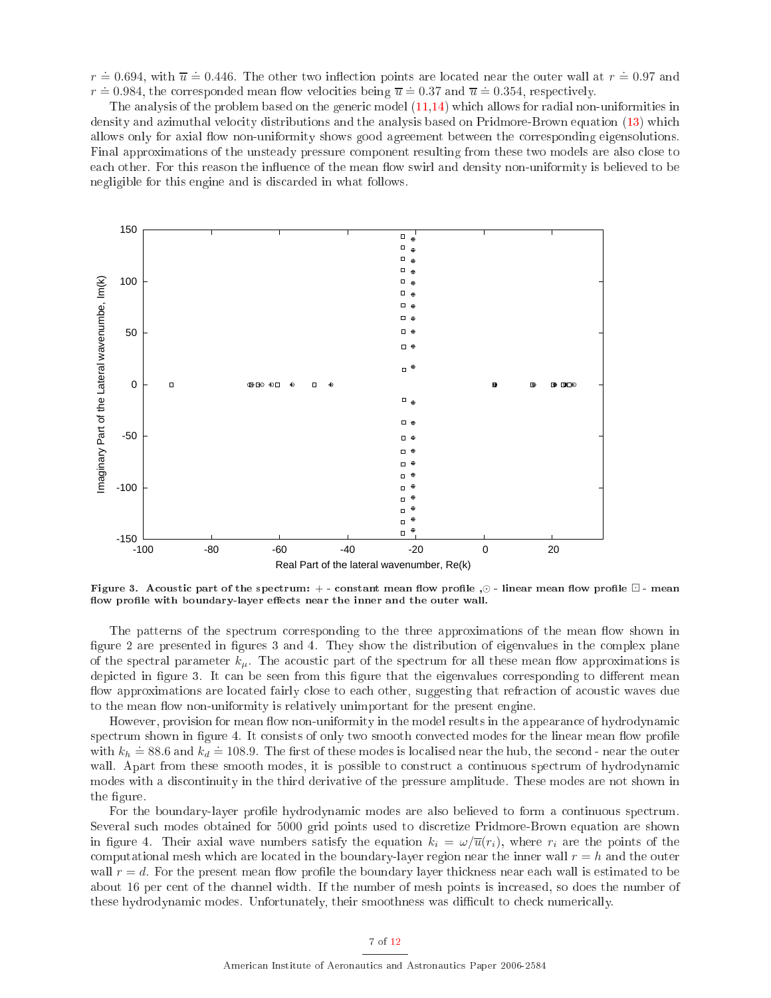$r \doteq 0.694$ , with  $\overline{u} \doteq 0.446$ . The other two inflection points are located near the outer wall at  $r \doteq 0.97$  and  $r = 0.984$ , the corresponded mean flow velocities being  $\overline{u} = 0.37$  and  $\overline{u} = 0.354$ , respectively.

The analysis of the problem based on the generic model  $(11,14)$  $(11,14)$  which allows for radial non-uniformities in density and azimuthal velocity distributions and the analysis based on Pridmore-Brown equation [\(13\)](#page-4-0) which allows only for axial flow non-uniformity shows good agreement between the corresponding eigensolutions. Final approximations of the unsteady pressure component resulting from these two models are also close to each other. For this reason the influence of the mean flow swirl and density non-uniformity is believed to be negligible for this engine and is discarded in what follows.



Figure 3. Acoustic part of the spectrum: + - constant mean flow profile  $\odot$  - linear mean flow profile  $\Box$  - mean flow profile with boundary-layer effects near the inner and the outer wall.

The patterns of the spectrum corresponding to the three approximations of the mean flow shown in figure 2 are presented in figures 3 and 4. They show the distribution of eigenvalues in the complex plane of the spectral parameter  $k_{\mu}$ . The acoustic part of the spectrum for all these mean flow approximations is depicted in figure 3. It can be seen from this figure that the eigenvalues corresponding to different mean flow approximations are located fairly close to each other, suggesting that refraction of acoustic waves due to the mean flow non-uniformity is relatively unimportant for the present engine.

However, provision for mean flow non-uniformity in the model results in the appearance of hydrodynamic spectrum shown in figure 4. It consists of only two smooth convected modes for the linear mean flow profile with  $k_h \approx 88.6$  and  $k_d \approx 108.9$ . The first of these modes is localised near the hub, the second - near the outer wall. Apart from these smooth modes, it is possible to construct a continuous spectrum of hydrodynamic modes with a dis
ontinuity in the third derivative of the pressure amplitude. These modes are not shown in the figure.

For the boundary-layer profile hydrodynamic modes are also believed to form a continuous spectrum. Several su
h modes obtained for 5000 grid points used to dis
retize Pridmore-Brown equation are shown in figure 4. Their axial wave numbers satisfy the equation  $k_i = \omega/\overline{u}(r_i)$ , where  $r_i$  are the points of the computational mesh which are located in the boundary-layer region near the inner wall  $r = h$  and the outer wall  $r = d$ . For the present mean flow profile the boundary layer thickness near each wall is estimated to be about 16 per ent of the hannel width. If the number of mesh points is in
reased, so does the number of these hydrodynamic modes. Unfortunately, their smoothness was difficult to check numerically.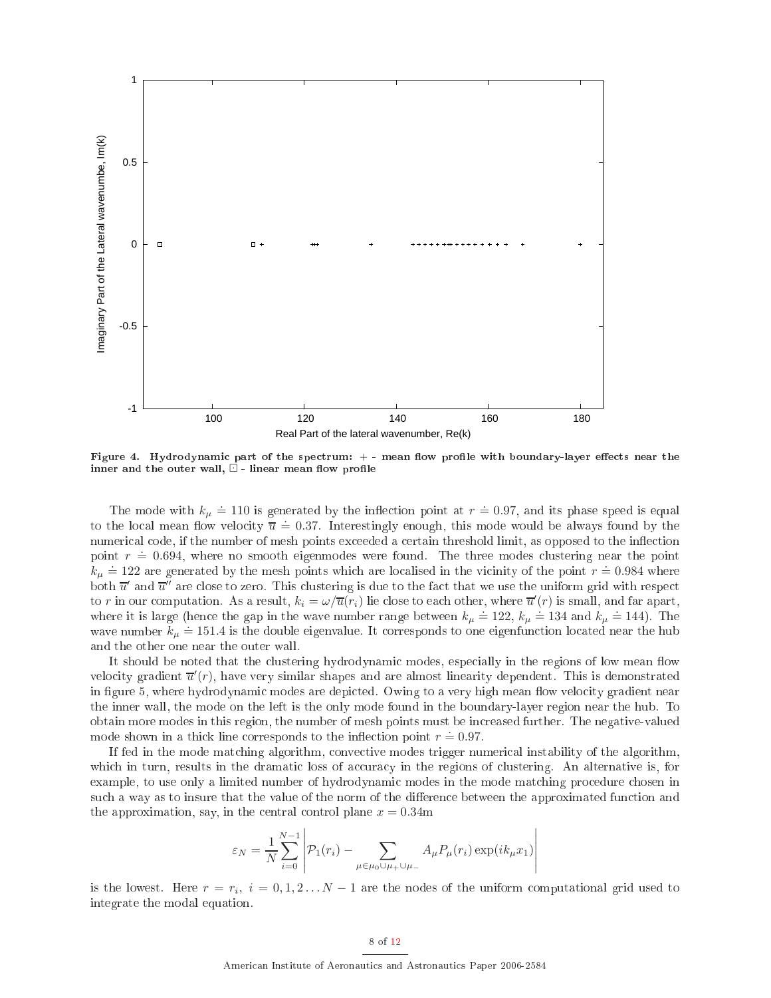

Figure 4. Hydrodynamic part of the spectrum: + - mean flow profile with boundary-layer effects near the inner and the outer wall,  $\Box$  - linear mean flow profile

The mode with  $k_{\mu} \doteq 110$  is generated by the inflection point at  $r \doteq 0.97$ , and its phase speed is equal to the local mean flow velocity  $\overline{u} = 0.37$ . Interestingly enough, this mode would be always found by the numerical code, if the number of mesh points exceeded a certain threshold limit, as opposed to the inflection point  $r = 0.694$ , where no smooth eigenmodes were found. The three modes clustering near the point  $k_{\mu} \doteq 122$  are generated by the mesh points which are localised in the vicinity of the point  $r \doteq 0.984$  where both  $\overline{u}'$  and  $\overline{u''}$  are close to zero. This clustering is due to the fact that we use the uniform grid with respect to  $r$  in our computation. As a result,  $k_i=\omega/\overline{u}(r_i)$  lie close to each other, where  $\overline{u}'(r)$  is small, and far apart, where it is large (hence the gap in the wave number range between  $k_{\mu} \doteq 122$ ,  $k_{\mu} \doteq 134$  and  $k_{\mu} \doteq 144$ ). The where n is range (mence the gap in the wave number range between  $n_{\mu} = 122$ ,  $n_{\mu} = 151$  and  $n_{\mu} = 111$ ). The wave number  $k_{\mu} = 151.4$  is the double eigenvalue. It corresponds to one eigenfunction located near the and the other one near the outer wall.

It should be noted that the clustering hydrodynamic modes, especially in the regions of low mean flow velocity gradient  $\overline{u}'(r)$ , have very similar shapes and are almost linearity dependent. This is demonstrated in figure 5, where hydrodynamic modes are depicted. Owing to a very high mean flow velocity gradient near the inner wall, the mode on the left is the only mode found in the boundary-layer region near the hub. To obtain more modes in this region, the number of mesh points must be in
reased further. The negative-valued mode shown in a thick line corresponds to the inflection point  $r = 0.97$ .

If fed in the mode mat
hing algorithm, onve
tive modes trigger numeri
al instability of the algorithm, which in turn, results in the dramatic loss of accuracy in the regions of clustering. An alternative is, for example, to use only a limited number of hydrodynamic modes in the mode matching procedure chosen in such a way as to insure that the value of the norm of the difference between the approximated function and the approximation, say, in the central control plane  $x = 0.34$ m

$$
\varepsilon_N = \frac{1}{N} \sum_{i=0}^{N-1} \left| \mathcal{P}_1(r_i) - \sum_{\mu \in \mu_0 \cup \mu_+ \cup \mu_-} A_{\mu} P_{\mu}(r_i) \exp(ik_{\mu}x_1) \right|
$$

is the lowest. Here  $r = r_i$ ,  $i = 0, 1, 2...N - 1$  are the nodes of the uniform computational grid used to integrate the modal equation.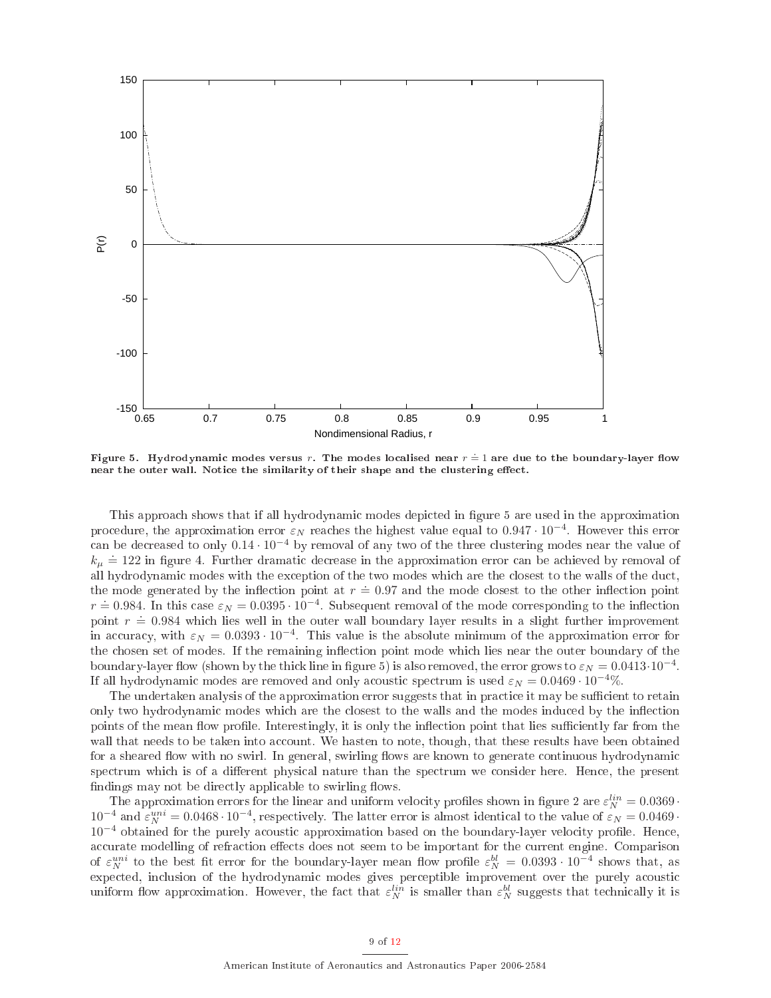

Figure 5. Hydrodynamic modes versus  $r.$  The modes localised near  $r \stackrel{\cdot}{=} 1$  are due to the boundary-layer flow near the outer wall. Notice the similarity of their shape and the clustering effect.

This approach shows that if all hydrodynamic modes depicted in figure 5 are used in the approximation procedure, the approximation error  $\varepsilon_N$  reaches the highest value equal to 0.947 $\cdot$  10<sup>−4</sup>. However this error an be de
reased to only 0.14 · 10−<sup>4</sup> by removal of any two of the three lustering modes near the value of  $k_{\mu} \doteq 122$  in figure 4. Further dramatic decrease in the approximation error can be achieved by removal of all hydrodynamic modes with the exception of the two modes which are the closest to the walls of the duct, the mode generated by the inflection point at  $r = 0.97$  and the mode closest to the other inflection point  $r = 0.984$ . In this case  $\varepsilon_N = 0.0395 \cdot 10^{-4}$ . Subsequent removal of the mode corresponding to the inflection point  $r = 0.984$  which lies well in the outer wall boundary layer results in a slight further improvement in accuracy, with  $\varepsilon_N = 0.0393 \cdot 10^{-4}$ . This value is the absolute minimum of the approximation error for the chosen set of modes. If the remaining inflection point mode which lies near the outer boundary of the boundary-layer flow (shown by the thick line in figure 5) is also removed, the error grows to  $\varepsilon_N = 0.0413 \cdot 10^{-4}$ . If all hydrodynamic modes are removed and only acoustic spectrum is used  $\varepsilon_N = 0.0469 \cdot 10^{-4}\%$ .

The undertaken analysis of the approximation error suggests that in practice it may be sufficient to retain only two hydrodynamic modes which are the closest to the walls and the modes induced by the inflection points of the mean flow profile. Interestingly, it is only the inflection point that lies sufficiently far from the wall that needs to be taken into account. We hasten to note, though, that these results have been obtained for a sheared flow with no swirl. In general, swirling flows are known to generate continuous hydrodynamic spectrum which is of a different physical nature than the spectrum we consider here. Hence, the present findings may not be directly applicable to swirling flows.

The approximation errors for the linear and uniform velocity profiles shown in figure 2 are  $\varepsilon_N^{lin} = 0.0369$ .  $10^{-4}$  and  $\varepsilon_N^{uni} = 0.0468 \cdot 10^{-4}$ , respectively. The latter error is almost identical to the value of  $\varepsilon_N = 0.0469$ . 10<sup>-4</sup> obtained for the purely acoustic approximation based on the boundary-layer velocity profile. Hence, accurate modelling of refraction effects does not seem to be important for the current engine. Comparison of  $\varepsilon_N^{uni}$  to the best fit error for the boundary-layer mean flow profile  $\varepsilon_N^{bl} = 0.0393 \cdot 10^{-4}$  shows that, as uniform flow approximation. However, the fact that  $\varepsilon_N^{lin}$  is smaller than  $\varepsilon_N^{bl}$  suggests that technically it is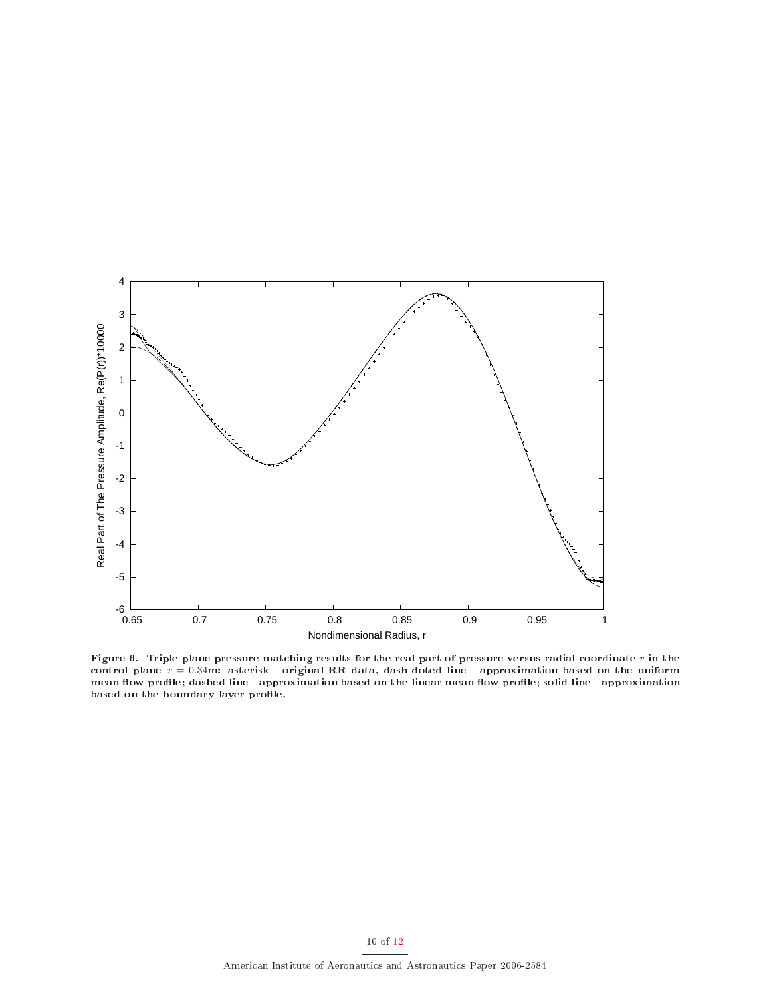

Figure 6. Triple plane pressure matching results for the real part of pressure versus radial coordinate r in the control plane  $x = 0.34$ m: asterisk - original RR data, dash-doted line - approximation based on the uniform mean flow profile; dashed line - approximation based on the linear mean flow profile; solid line - approximation based on the boundary-layer profile.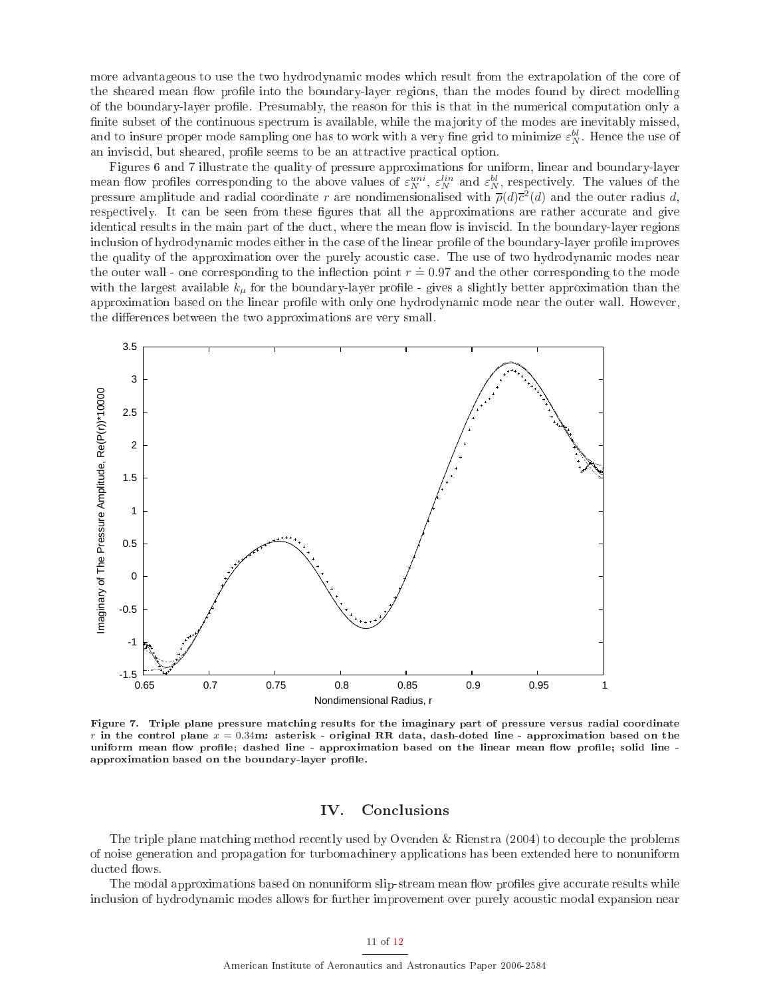more advantageous to use the two hydrodynamic modes which result from the extrapolation of the core of the sheared mean flow profile into the boundary-layer regions, than the modes found by direct modelling of the boundary-layer profile. Presumably, the reason for this is that in the numerical computation only a finite subset of the continuous spectrum is available, while the majority of the modes are inevitably missed. and to insure proper mode sampling one has to work with a very fine grid to minimize  $\varepsilon_N^{bl}$ . Hence the use of an inviscid, but sheared, profile seems to be an attractive practical option.

Figures 6 and 7 illustrate the quality of pressure approximations for uniform, linear and boundary-layer mean flow profiles corresponding to the above values of  $\varepsilon_N^{uni}$ ,  $\varepsilon_N^{lin}$  and  $\varepsilon_N^{bl}$ , respectively. The values of the pressure amplitude and radial coordinate r are nondimensionalised with  $\overline{\rho}(d)\overline{c}^2(d)$  and the outer radius d, respectively. It can be seen from these figures that all the approximations are rather accurate and give identical results in the main part of the duct, where the mean flow is inviscid. In the boundary-layer regions inclusion of hydrodynamic modes either in the case of the linear profile of the boundary-layer profile improves the quality of the approximation over the purely acoustic case. The use of two hydrodynamic modes near the outer wall - one corresponding to the inflection point  $r = 0.97$  and the other corresponding to the mode with the largest available  $k_{\mu}$  for the boundary-layer profile - gives a slightly better approximation than the approximation based on the linear profile with only one hydrodynamic mode near the outer wall. However, the differences between the two approximations are very small.



Figure 7. Triple plane pressure matching results for the imaginary part of pressure versus radial coordinate r in the control plane  $x = 0.34$ m: asterisk - original RR data, dash-doted line - approximation based on the uniform mean flow profile; dashed line - approximation based on the linear mean flow profile; solid line approximation based on the boundary-layer profile.

#### IV. Con
lusions

The triple plane matching method recently used by Ovenden & Rienstra (2004) to decouple the problems of noise generation and propagation for turboma
hinery appli
ations has been extended here to nonuniform ducted flows.

The modal approximations based on nonuniform slip-stream mean flow profiles give accurate results while in
lusion of hydrodynami modes allows for further improvement over purely a
ousti modal expansion near